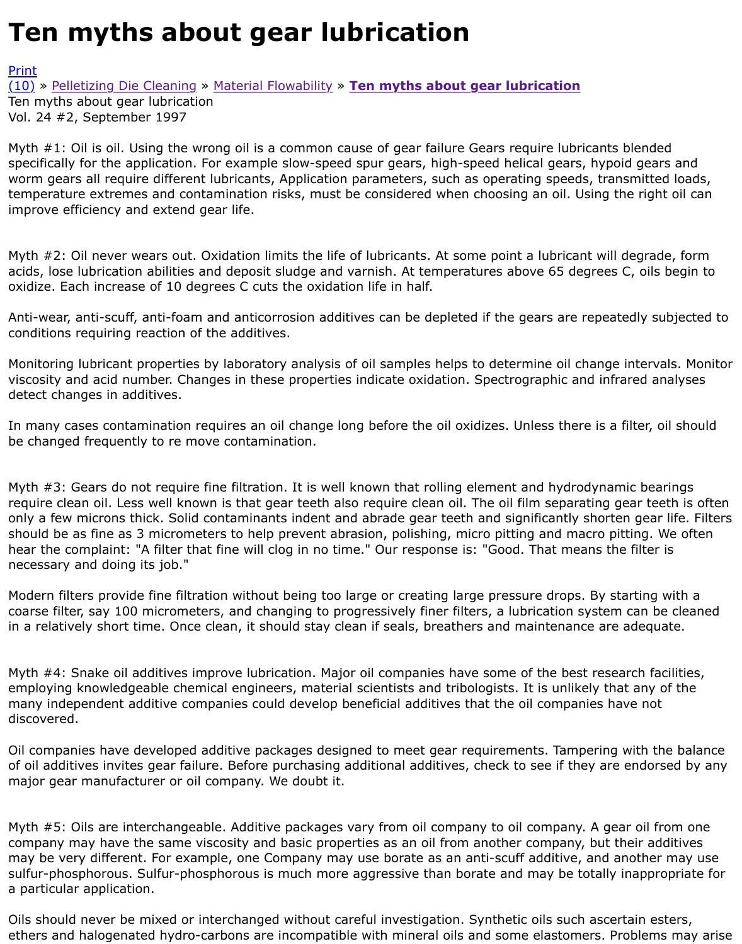Myth  $#1$ : Oil is oil. Using the wrong oil is a common cause of gear failure Gears require lubricants b specifically for the application. For example slow-speed spur gears, high-speed helical gears, hypoid worm gears all require different lubricants, Application parameters, such as operating speeds, trans [temp](http://extrusionwiki.com/wiki/Print.aspx?Page=CC-V24-2-E)erature extremes and contamination risks, must be considered when choosing an oil. Using the [impr](http://extrusionwiki.com/wiki/CC-V24-2-E.ashx#)ov[e efficiency and extend](http://extrusionwiki.com/wiki/CC-V24-2-C.ashx) g[ear life.](http://extrusionwiki.com/wiki/CC-V24-2-D.ashx)

Myth  $#2$ : Oil never wears out. Oxidation limits the life of lubricants. At some point a lubricant will degrade. acids, lose lubrication abilities and deposit sludge and varnish. At temperatures above 65 degrees C oxidize. Each increase of 10 degrees C cuts the oxidation life in half.

Anti-wear, anti-scuff, anti-foam and anticorrosion additives can be depleted if the gears are repeate conditions requiring reaction of the additives.

Monitoring lubricant properties by laboratory analysis of oil samples helps to determine oil change in viscosity and acid number. Changes in these properties indicate oxidation. Spectrographic and infrai detect changes in additives.

In many cases contamination requires an oil change long before the oil oxidizes. Unless there is a fi be changed frequently to re move contamination.

Myth  $#3$ : Gears do not require fine filtration. It is well known that rolling element and hydrodynami require clean oil. Less well known is that gear teeth also require clean oil. The oil film separating ge only a few microns thick. Solid contaminants indent and abrade gear teeth and significantly shorten should be as fine as 3 micrometers to help prevent abrasion, polishing, micro pitting and macro pitt hear the complaint: "A filter that fine will clog in no time." Our response is: "Good. That means the necessary and doing its job."

Modern filters provide fine filtration without being too large or creating large pressure drops. By sta coarse filter, say 100 micrometers, and changing to progressively finer filters, a lubrication system or in a relatively short time. Once clean, it should stay clean if seals, breathers and maintenance are a

Myth #4: Snake oil additives improve lubrication. Major oil companies have some of the best resear employing knowledgeable chemical engineers, material scientists and tribologists. It is unlikely that many independent additive companies could develop beneficial additives that the oil companies hav discovered.

Oil companies have developed additive packages designed to meet gear requirements. Tampering w of oil additives invites gear failure. Before purchasing additional additives, check to see if they are e major gear manufacturer or oil company. We doubt it.

Myth #5: Oils are interchangeable. Additive packages vary from oil company to oil company. A gear company may have the same viscosity and basic properties as an oil from another company, but the may be very different. For example, one Company may use borate as an anti-scuff additive, and an sulfur-phosphorous. Sulfur-phosphorous is much more aggressive than borate and may be totally ir a particular application.

Oils should never be mixed or interchanged without careful investigation. Synthetic oils such ascertain ester ethers and halogenated hydro-carbons are incompatible with mineral oils and some elastomers. Pro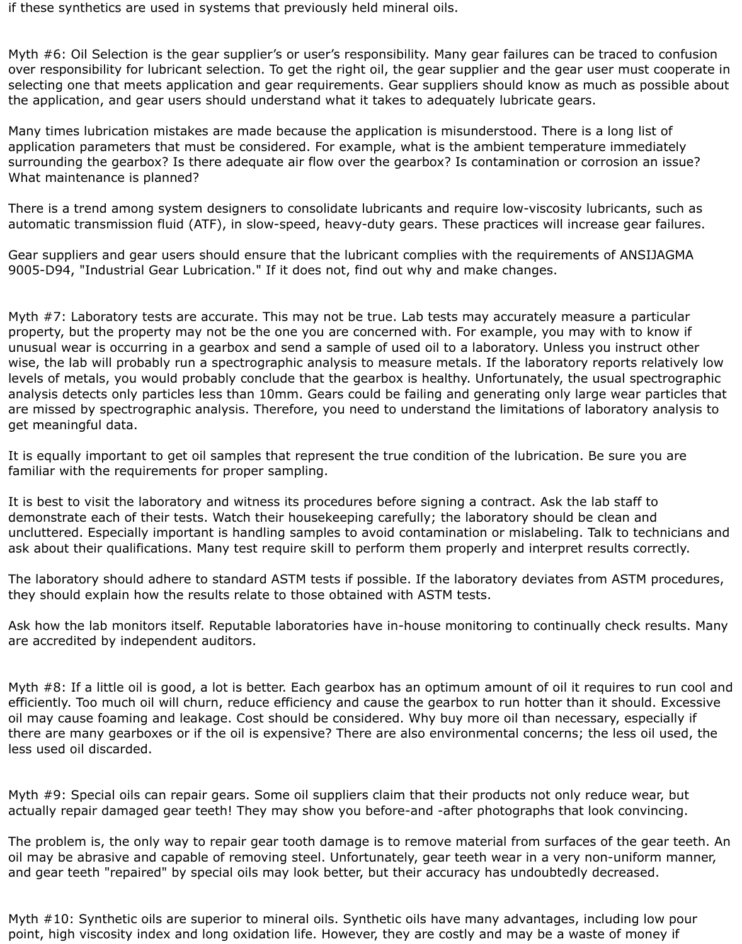if these synthetics are used in systems that previously held mineral oils.

Myth #6: Oil Selection is the gear supplier's or user's responsibility. Many gear failures can be traced to confusion over responsibility for lubricant selection. To get the right oil, the gear supplier and the gear user must cooperate in selecting one that meets application and gear requirements. Gear suppliers should know as much as possible about the application, and gear users should understand what it takes to adequately lubricate gears.

Many times lubrication mistakes are made because the application is misunderstood. There is a long list of application parameters that must be considered. For example, what is the ambient temperature immediately surrounding the gearbox? Is there adequate air flow over the gearbox? Is contamination or corrosion an issue? What maintenance is planned?

There is a trend among system designers to consolidate lubricants and require low-viscosity lubricants, such as automatic transmission fluid (ATF), in slow-speed, heavy-duty gears. These practices will increase gear failures.

Gear suppliers and gear users should ensure that the lubricant complies with the requirements of ANSIJAGMA 9005-D94, "Industrial Gear Lubrication." If it does not, find out why and make changes.

Myth #7: Laboratory tests are accurate. This may not be true. Lab tests may accurately measure a particular property, but the property may not be the one you are concerned with. For example, you may with to know if unusual wear is occurring in a gearbox and send a sample of used oil to a laboratory. Unless you instruct other wise, the lab will probably run a spectrographic analysis to measure metals. If the laboratory reports relatively low levels of metals, you would probably conclude that the gearbox is healthy. Unfortunately, the usual spectrographic analysis detects only particles less than 10mm. Gears could be failing and generating only large wear particles that are missed by spectrographic analysis. Therefore, you need to understand the limitations of laboratory analysis to get meaningful data.

It is equally important to get oil samples that represent the true condition of the lubrication. Be sure you are familiar with the requirements for proper sampling.

It is best to visit the laboratory and witness its procedures before signing a contract. Ask the lab staff to demonstrate each of their tests. Watch their housekeeping carefully; the laboratory should be clean and uncluttered. Especially important is handling samples to avoid contamination or mislabeling. Talk to technicians and ask about their qualifications. Many test require skill to perform them properly and interpret results correctly.

The laboratory should adhere to standard ASTM tests if possible. If the laboratory deviates from ASTM procedures, they should explain how the results relate to those obtained with ASTM tests.

Ask how the lab monitors itself. Reputable laboratories have in-house monitoring to continually check results. Many are accredited by independent auditors.

Myth #8: If a little oil is good, a lot is better. Each gearbox has an optimum amount of oil it requires to run cool and efficiently. Too much oil will churn, reduce efficiency and cause the gearbox to run hotter than it should. Excessive oil may cause foaming and leakage. Cost should be considered. Why buy more oil than necessary, especially if there are many gearboxes or if the oil is expensive? There are also environmental concerns; the less oil used, the less used oil discarded.

Myth #9: Special oils can repair gears. Some oil suppliers claim that their products not only reduce wear, but actually repair damaged gear teeth! They may show you before-and -after photographs that look convincing.

The problem is, the only way to repair gear tooth damage is to remove material from surfaces of the gear teeth. An oil may be abrasive and capable of removing steel. Unfortunately, gear teeth wear in a very non-uniform manner, and gear teeth "repaired" by special oils may look better, but their accuracy has undoubtedly decreased.

Myth #10: Synthetic oils are superior to mineral oils. Synthetic oils have many advantages, including low pour point, high viscosity index and long oxidation life. However, they are costly and may be a waste of money if